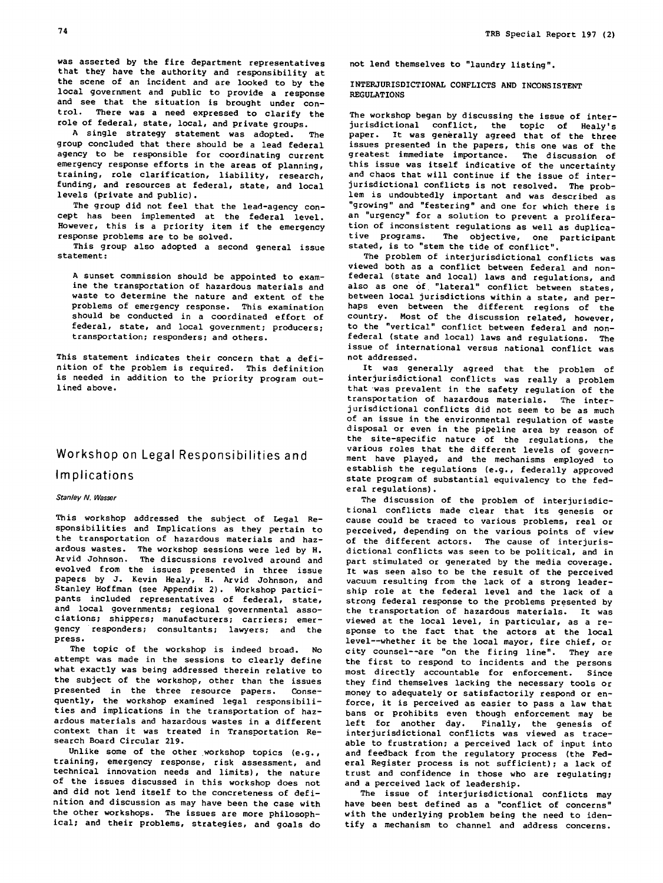was asserted by the fire department representatives that they have the authority and responsibility at the scene of an incident and are looked to by the local government and public to provide a response and see that the situation is brought under control. There was a need expressed to clarify the role of federal, state, local, and private groups.

A single strategy statement was adopted. The group concluded that there should be a lead federal agency to be responsible for coordinating current emergency response efforts in the areas of planning, training, role clarification, liability, research, funding, and resources at federal, state, and local levels (private and public).

The group did not feel that the lead-agency concept has been implemented at the federal level. However, this is a priority item if the emergency response problems are to be solved.

This group also adopted a second general issue statement:

A sunset commission should be appointed to examine the transportation of hazardous materials and waste to determine the nature and extent of the problems of emergency response. This examination should be conducted in a coordinated effort of federal, state, and local government; producers; transportation; responders; and Others.

This statement indicates their concern that a definition of the problem is required. This definition is needed in addition to the priority program outlined above.

## Workshop on Legal Responsibilities and Implications

## Stanley N. Wasser

This workshop addressed the subject of Legal Responsibilities and Implications as they pertain to the transportation of hazardous materials and hazardous wastes. The workshop sessions were led by H. Arvid Johnson. The discussions revolved around and evolved from the issues presented in three issue papers by J. Kevin Healy, H. Arvid Johnson, and Stanley Hoffman (see Appendix 2). Workshop participants included representatives of federal, state, and local governments; regional governmental associations; shippers; manufacturers; carriers; emergency responders; consultants; lawyers; and the press.

The topic of the workshop is indeed broad. No attempt was made in the sessions to clearly define what exactly was being addressed therein relative to the subject of the workshop, other than the issues presented in the three resource papers. Consequently, the workshop examined legal responsibilities and implications in the transportation of hazardous materials and hazardous wastes in a different context than it was treated in Transportation Research Board Circular 219.

Unlike some of the other workshop topics (e.g., training, emergency response, risk assessment, and technical innovation needs and limits), the nature of the issues discussed in this workshop does not and did not lend itself to the concreteness of definition and discussion as may have been the case with the other workshops. The issues are more philosophical; and their problems, strategies, and goals do

not lend themselves to "laundry listing".

INTERJURISDICTIONAL CONFLICTS AND INCONSISTENT REGULATIONS

The workshop began by discussing the issue of interjurisdictional conflict, the topic of Healy's paper. It was generally agreed that of the three issues presented in the papers, this one was of the greatest immediate importance. The discussion of this issue was itself indicative of the uncertainty and chaos that will continue if the issue of interjurisdictional conflicts is not resolved. The problem is undoubtedly important and was described as "growing" and "festering" and one for which there is an "urgency" for a solution to prevent a proliferation of inconsistent regulations as well as duplicative programs. The objective, one participant stated, is to "stem the tide of conflict".

The problem of interjurisdictional conflicts was viewed both as a conflict between federal and nonfederal (state and local) laws and regulations, and also as one of. "lateral" conflict between states, between local jurisdictions within a state, and perhaps even between the different regions of the country. Most of the discussion related, however, to the "vertical" conflict between federal and nonfederal (state and local) laws and regulations. The issue of international versus national conflict was not addressed.

It was generally agreed that the problem of interjurisdictional conflicts was really a problem that was prevalent in the safety regulation of the transportation of hazardous materials. The interjurisdictional conflicts did not seem to be as much of an issue in the environmental regulation of waste disposal or even in the pipeline area by reason of the site-specific nature of the regulations, the various roles that the different levels of government have played, and the mechanisms employed to establish the regulations (e.g., federally approved state program of substantial equivalency to the federal regulations).

The discussion of the problem of interjurisdictional conflicts made clear that its genesis or cause could be traced to various problems, real or perceived, depending on the various points of view of the different actors. The cause of interjurisdictional conflicts was seen to be political, and in part stimulated or generated by the media coverage. It was seen also to be the result of the perceived vacuum resulting from the lack of a strong leadership role at the federal level and the lack of a strong federal response to the problems presented by the transportation of hazardous materials. It was viewed at the local level, in particular, as a response to the fact that the actors at the local level--whether it be the local mayor, fire chief, or city counsel--are "on the firing line". They are the first to respond to incidents and the persons most directly accountable for enforcement. Since they find themselves lacking the necessary tools or money to adequately or satisfactorily respond or enforce, it is perceived as easier to pass a law that bans or prohibits even though enforcement may be<br>left for another day. Finally, the genesis of Finally, the genesis of interjurisdictional conflicts was viewed as traceable to frustration; a perceived lack of input into and feedback from the regulatory process (the Federal Register process is not sufficient); a lack of trust and confidence in those who are regulating; and a perceived lack of leadership.

The issue of interjurisdictional conflicts may have been best defined as a "conflict of concerns" with the underlying problem being the need to identify a mechanism to channel and address concerns.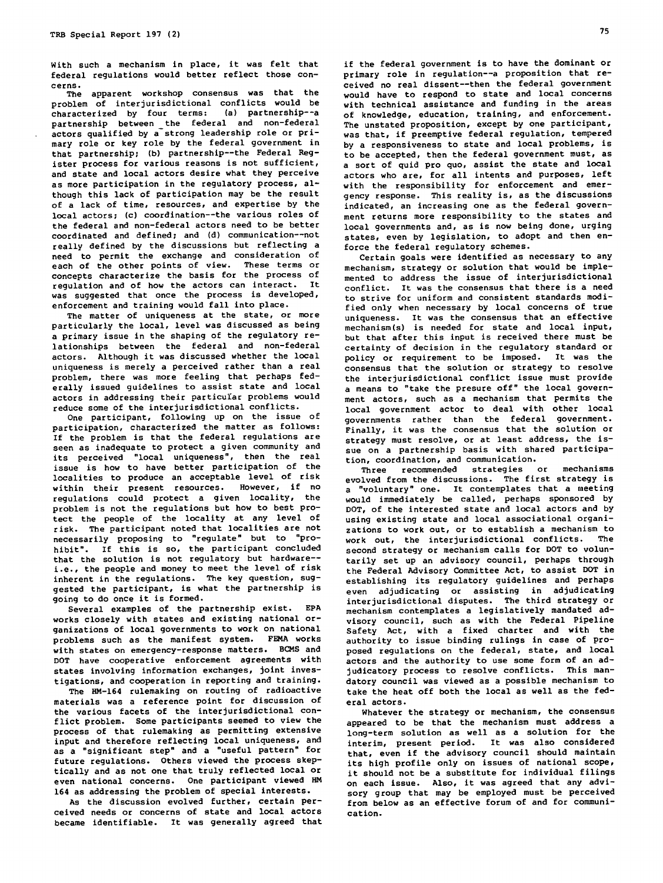With such a mechanism in place, it was felt that federal regulations would better reflect those concerns.

The apparent workshop consensus was that the problem of interjurisdictional conflicts would be<br>characterized by four terms: (a) partnership--a characterized by four terms: partnership between \_the federal and non-federal actors qualified by a strong leadership role or primary role or key role by the federal government in that partnership; (b) partnership--the Federal Register process for various reasons is not sufficient, and state and local actors desire what they perceive as more participation in the regulatory process, although this lack of participation may be the result of a lack of time, resources, and expertise by the local actors; (c) coordination--the various roles of the federal and non-federal actors need to be better coordinated and defined; and (d) communication--not really defined by the discussions but reflecting a need to permit the exchange and consideration of each of the other points of view. These terms or concepts characterize the basis for the process of regulation and of how the actors can interact. It was suggested that once the process is developed, enforcement and training would fall into place.

The matter of uniqueness at the state, or more particularly the local, level was discussed as being a primary issue in the shaping of the regulatory relationships between the federal and non-federal actors. Although it was discussed whether the local uniqueness is merely a perceived rather than a real problem, there was more feeling that perhaps federally issued guidelines to assist state and local actors in addressing their particuiar problems would reduce some of the interjurisdictional conflicts.

One participant, following up on the issue of participation, characterized the matter as follows: If the problem is that the federal regulations are seen as inadequate to protect a given community and its perceived "local uniqueness", then the real issue is how to have better participation of the localities to produce an acceptable level of risk within their present resources. However, if no regulations could protect a given locality, the problem is not the regulations but how to best protect the people of the locality at any level of risk. The participant noted that localities are not necessarily proposing to "regulate" but to "prohibit". If this is so, the participant concluded that the solution is not regulatory but hardware- i.e., the people and money to meet the level of risk inherent in the regulations. The key question, suggested the participant, is what the partnership is going to do once it is formed.

Several examples of the partnership exist. EPA works closely with states and existing national organizations of local governments to work on national problems such as the manifest system. FEMA works with states on emergency-response matters. BCMS and DOT have cooperative enforcement agreements with states involving information exchanges, joint investigations, and cooperation in reporting and training.

The HM-164 rulemaking on routing of radioactive materials was a reference point for discussion of the various facets of the interjurisdictional conflict problem. Some participants seemed to view the process of that rulemaking as permitting extensive input and therefore reflecting local uniqueness, and as a "significant step" and a "useful pattern" for future regulations. Others viewed the process skeptically and as not one that truly reflected local or even national concerns. One participant viewed MM 164 as addressing the problem of special interests.

As the discussion evolved further, certain perceived needs or concerns of state and local actors became identifiable. It was generally agreed that

if the federal government is to have the dominant or primary role in regulation--a proposition that received no real dissent--then the federal government would have to respond to state and local concerns with technical assistance and funding in the areas of knowledge, education, training, and enforcement. The unstated proposition, except by one participant, was that, if preemptive federal regulation, tempered by a responsiveness to state and local problems, is to be accepted, then the federal government must, as a sort of quid pro quo, assist the state and local actors who are, for all intents and purposes, left with the responsibility for enforcement and emergency response. This reality is, as the discussions indicated, an increasing one as the federal government returns more responsibility to the states and local governments and, as is now being done, urging states, even by legislation, to adopt and then enforce the federal regulatory schemes.

Certain goals were identified as necessary to any mechanism, strategy or solution that would be implemented to address the issue of interjurisdictional conflict. It was the consensus that there is a need to strive for uniform and consistent standards modified only when necessary by local concerns of true uniqueness. It was the consensus that an effective mechanism(s) is needed for state and local input, but that after this input is received there must be certainty of decision in the regulatory standard or policy or requirement to be imposed. It was the consensus that the solution or strategy to resolve the interjurisdictional conflict issue must provide a means to "take the presure off" the local government actors, such as a mechanism that permits the local government actor to deal with other local governments rather than the federal government. Finally, it was the consensus that the solution or strategy must resolve, or at least address, the issue on a partnership basis with shared participation, coordination, and communication.<br>Three recommended strategies or

Three recommended strategies or mechanisms evolved from the discussions. The first strategy is a "voluntary" one. It contemplates that a meeting would immediately be called, perhaps sponsored by DOT, of the interested state and local actors and by using existing state and local associational organizations to work out, or to establish a mechanism to work out, the interjurisdictional conflicts. The second strategy or mechanism calls for DOT to voluntarily set up an advisory council, perhaps through the Federal Advisory Committee Act, to assist DOT in establishing its regulatory guidelines and perhaps even adjudicating or assisting in adjudicating interjurisdictional disputes. The third strategy or mechanism contemplates a legislatively mandated advisory council, such as with the Federal Pipeline Safety Act, with a fixed charter and with the authority to issue binding rulings in case of proposed regulations on the federal, state, and local actors and the authority to use some form of an adjudicatory process to resolve conflicts. This mandatory council was viewed as a possible mechanism to take the heat off both the local as well as the federal actors.

Whatever the strategy or mechanism, the consensus appeared to be that the mechanism must address a long-term solution as well as a solution for the interim, present period. It was also considered that, even if the advisory council should maintain its high profile only on issues of national scope, it should not be a substitute for individual filings on each issue. Also, it was agreed that any advisory group that may be employed must be perceived from below as an effective forum of and for communication.